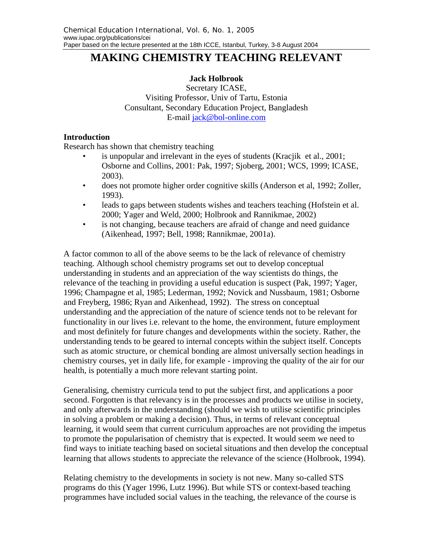# **MAKING CHEMISTRY TEACHING RELEVANT**

# **Jack Holbrook**

Secretary ICASE, Visiting Professor, Univ of Tartu, Estonia Consultant, Secondary Education Project, Bangladesh E-mail jack@bol-online.com

## **Introduction**

Research has shown that chemistry teaching

- is unpopular and irrelevant in the eyes of students (Kracjik et al., 2001; Osborne and Collins, 2001: Pak, 1997; Sjoberg, 2001; WCS, 1999; ICASE, 2003).
- does not promote higher order cognitive skills (Anderson et al, 1992; Zoller, 1993).
- leads to gaps between students wishes and teachers teaching (Hofstein et al. 2000; Yager and Weld, 2000; Holbrook and Rannikmae, 2002)
- is not changing, because teachers are afraid of change and need guidance (Aikenhead, 1997; Bell, 1998; Rannikmae, 2001a).

A factor common to all of the above seems to be the lack of relevance of chemistry teaching. Although school chemistry programs set out to develop conceptual understanding in students and an appreciation of the way scientists do things, the relevance of the teaching in providing a useful education is suspect (Pak, 1997; Yager, 1996; Champagne et al, 1985; Lederman, 1992; Novick and Nussbaum, 1981; Osborne and Freyberg, 1986; Ryan and Aikenhead, 1992). The stress on conceptual understanding and the appreciation of the nature of science tends not to be relevant for functionality in our lives i.e. relevant to the home, the environment, future employment and most definitely for future changes and developments within the society. Rather, the understanding tends to be geared to internal concepts within the subject itself. Concepts such as atomic structure, or chemical bonding are almost universally section headings in chemistry courses, yet in daily life, for example - improving the quality of the air for our health, is potentially a much more relevant starting point.

Generalising, chemistry curricula tend to put the subject first, and applications a poor second. Forgotten is that relevancy is in the processes and products we utilise in society, and only afterwards in the understanding (should we wish to utilise scientific principles in solving a problem or making a decision). Thus, in terms of relevant conceptual learning, it would seem that current curriculum approaches are not providing the impetus to promote the popularisation of chemistry that is expected. It would seem we need to find ways to initiate teaching based on societal situations and then develop the conceptual learning that allows students to appreciate the relevance of the science (Holbrook, 1994).

Relating chemistry to the developments in society is not new. Many so-called STS programs do this (Yager 1996, Lutz 1996). But while STS or context-based teaching programmes have included social values in the teaching, the relevance of the course is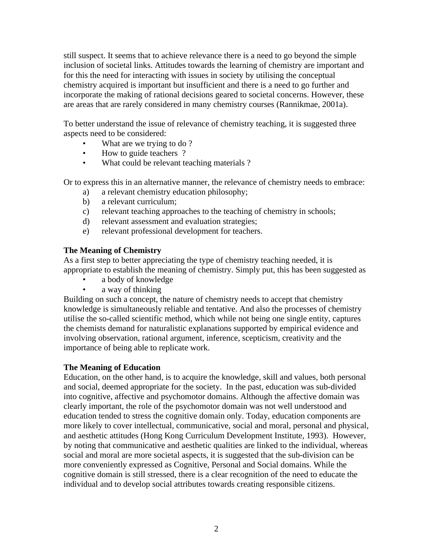still suspect. It seems that to achieve relevance there is a need to go beyond the simple inclusion of societal links. Attitudes towards the learning of chemistry are important and for this the need for interacting with issues in society by utilising the conceptual chemistry acquired is important but insufficient and there is a need to go further and incorporate the making of rational decisions geared to societal concerns. However, these are areas that are rarely considered in many chemistry courses (Rannikmae, 2001a).

To better understand the issue of relevance of chemistry teaching, it is suggested three aspects need to be considered:

- What are we trying to do?
- How to guide teachers ?
- What could be relevant teaching materials ?

Or to express this in an alternative manner, the relevance of chemistry needs to embrace:

- a) a relevant chemistry education philosophy;
- b) a relevant curriculum;
- c) relevant teaching approaches to the teaching of chemistry in schools;
- d) relevant assessment and evaluation strategies;
- e) relevant professional development for teachers.

#### **The Meaning of Chemistry**

As a first step to better appreciating the type of chemistry teaching needed, it is appropriate to establish the meaning of chemistry. Simply put, this has been suggested as

- a body of knowledge
- a way of thinking

Building on such a concept, the nature of chemistry needs to accept that chemistry knowledge is simultaneously reliable and tentative. And also the processes of chemistry utilise the so-called scientific method, which while not being one single entity, captures the chemists demand for naturalistic explanations supported by empirical evidence and involving observation, rational argument, inference, scepticism, creativity and the importance of being able to replicate work.

### **The Meaning of Education**

Education, on the other hand, is to acquire the knowledge, skill and values, both personal and social, deemed appropriate for the society. In the past, education was sub-divided into cognitive, affective and psychomotor domains. Although the affective domain was clearly important, the role of the psychomotor domain was not well understood and education tended to stress the cognitive domain only. Today, education components are more likely to cover intellectual, communicative, social and moral, personal and physical, and aesthetic attitudes (Hong Kong Curriculum Development Institute, 1993). However, by noting that communicative and aesthetic qualities are linked to the individual, whereas social and moral are more societal aspects, it is suggested that the sub-division can be more conveniently expressed as Cognitive, Personal and Social domains. While the cognitive domain is still stressed, there is a clear recognition of the need to educate the individual and to develop social attributes towards creating responsible citizens.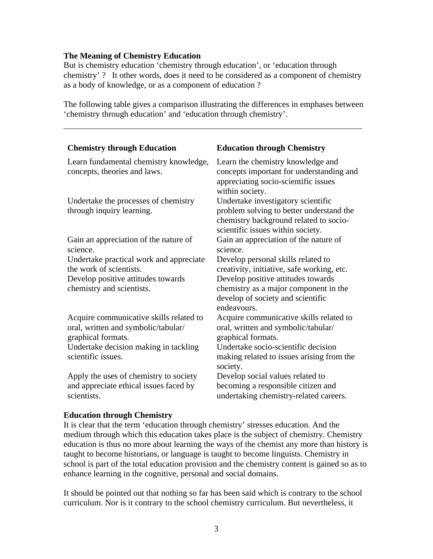### **The Meaning of Chemistry Education**

But is chemistry education 'chemistry through education', or 'education through chemistry' ? It other words, does it need to be considered as a component of chemistry as a body of knowledge, or as a component of education ?

The following table gives a comparison illustrating the differences in emphases between 'chemistry through education' and 'education through chemistry'.

| <b>Chemistry through Education</b>                                                                   | <b>Education through Chemistry</b>                                                                                                                            |
|------------------------------------------------------------------------------------------------------|---------------------------------------------------------------------------------------------------------------------------------------------------------------|
| Learn fundamental chemistry knowledge,<br>concepts, theories and laws.                               | Learn the chemistry knowledge and<br>concepts important for understanding and<br>appreciating socio-scientific issues<br>within society.                      |
| Undertake the processes of chemistry<br>through inquiry learning.                                    | Undertake investigatory scientific<br>problem solving to better understand the<br>chemistry background related to socio-<br>scientific issues within society. |
| Gain an appreciation of the nature of<br>science.                                                    | Gain an appreciation of the nature of<br>science.                                                                                                             |
| Undertake practical work and appreciate                                                              | Develop personal skills related to                                                                                                                            |
| the work of scientists.                                                                              | creativity, initiative, safe working, etc.                                                                                                                    |
| Develop positive attitudes towards                                                                   | Develop positive attitudes towards                                                                                                                            |
| chemistry and scientists.                                                                            | chemistry as a major component in the                                                                                                                         |
|                                                                                                      | develop of society and scientific<br>endeavours.                                                                                                              |
| Acquire communicative skills related to<br>oral, written and symbolic/tabular/<br>graphical formats. | Acquire communicative skills related to<br>oral, written and symbolic/tabular/<br>graphical formats.                                                          |
| Undertake decision making in tackling                                                                | Undertake socio-scientific decision                                                                                                                           |
| scientific issues.                                                                                   | making related to issues arising from the<br>society.                                                                                                         |
| Apply the uses of chemistry to society                                                               | Develop social values related to                                                                                                                              |
| and appreciate ethical issues faced by                                                               | becoming a responsible citizen and                                                                                                                            |
| scientists.                                                                                          | undertaking chemistry-related careers.                                                                                                                        |

#### **Education through Chemistry**

It is clear that the term 'education through chemistry' stresses education. And the medium through which this education takes place is the subject of chemistry. Chemistry education is thus no more about learning the ways of the chemist any more than history is taught to become historians, or language is taught to become linguists. Chemistry in school is part of the total education provision and the chemistry content is gained so as to enhance learning in the cognitive, personal and social domains.

It should be pointed out that nothing so far has been said which is contrary to the school curriculum. Nor is it contrary to the school chemistry curriculum. But nevertheless, it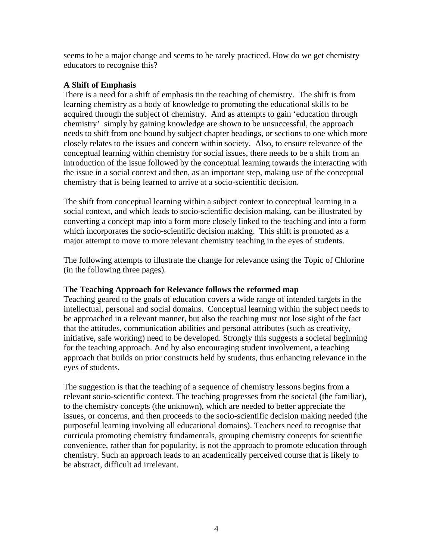seems to be a major change and seems to be rarely practiced. How do we get chemistry educators to recognise this?

### **A Shift of Emphasis**

There is a need for a shift of emphasis tin the teaching of chemistry. The shift is from learning chemistry as a body of knowledge to promoting the educational skills to be acquired through the subject of chemistry. And as attempts to gain 'education through chemistry' simply by gaining knowledge are shown to be unsuccessful, the approach needs to shift from one bound by subject chapter headings, or sections to one which more closely relates to the issues and concern within society. Also, to ensure relevance of the conceptual learning within chemistry for social issues, there needs to be a shift from an introduction of the issue followed by the conceptual learning towards the interacting with the issue in a social context and then, as an important step, making use of the conceptual chemistry that is being learned to arrive at a socio-scientific decision.

The shift from conceptual learning within a subject context to conceptual learning in a social context, and which leads to socio-scientific decision making, can be illustrated by converting a concept map into a form more closely linked to the teaching and into a form which incorporates the socio-scientific decision making. This shift is promoted as a major attempt to move to more relevant chemistry teaching in the eyes of students.

The following attempts to illustrate the change for relevance using the Topic of Chlorine (in the following three pages).

### **The Teaching Approach for Relevance follows the reformed map**

Teaching geared to the goals of education covers a wide range of intended targets in the intellectual, personal and social domains. Conceptual learning within the subject needs to be approached in a relevant manner, but also the teaching must not lose sight of the fact that the attitudes, communication abilities and personal attributes (such as creativity, initiative, safe working) need to be developed. Strongly this suggests a societal beginning for the teaching approach. And by also encouraging student involvement, a teaching approach that builds on prior constructs held by students, thus enhancing relevance in the eyes of students.

The suggestion is that the teaching of a sequence of chemistry lessons begins from a relevant socio-scientific context. The teaching progresses from the societal (the familiar), to the chemistry concepts (the unknown), which are needed to better appreciate the issues, or concerns, and then proceeds to the socio-scientific decision making needed (the purposeful learning involving all educational domains). Teachers need to recognise that curricula promoting chemistry fundamentals, grouping chemistry concepts for scientific convenience, rather than for popularity, is not the approach to promote education through chemistry. Such an approach leads to an academically perceived course that is likely to be abstract, difficult ad irrelevant.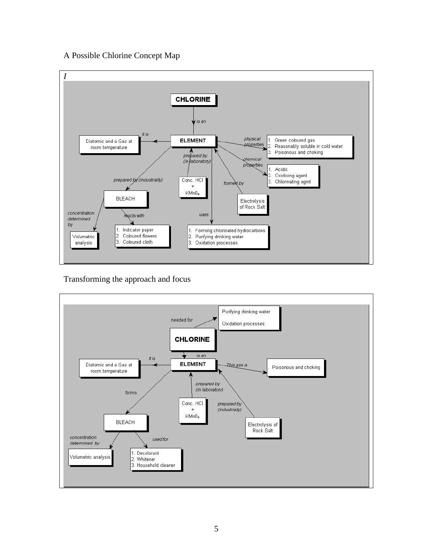# A Possible Chlorine Concept Map



# Transforming the approach and focus

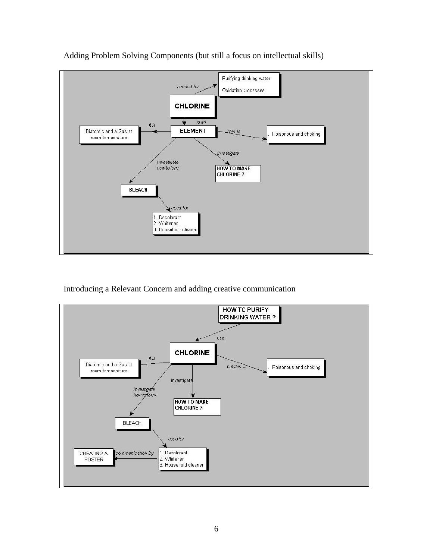

Adding Problem Solving Components (but still a focus on intellectual skills)

# Introducing a Relevant Concern and adding creative communication

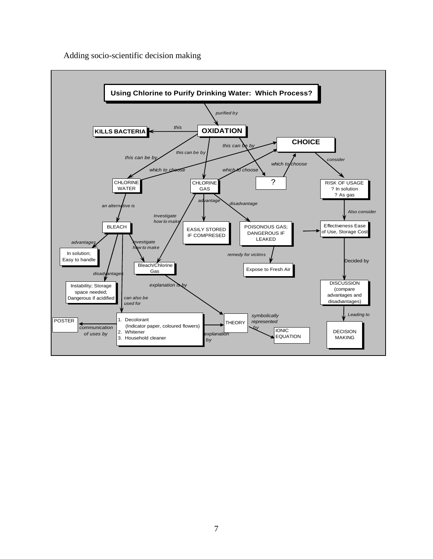Adding socio-scientific decision making

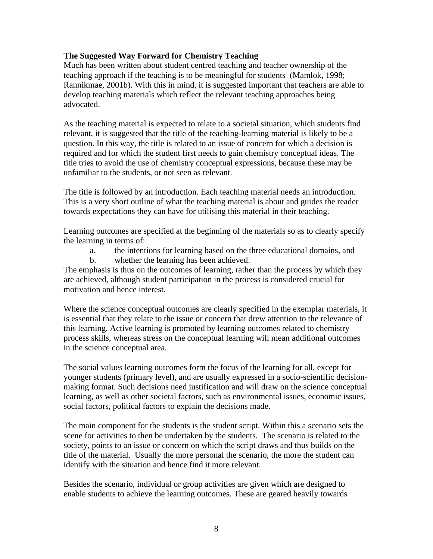### **The Suggested Way Forward for Chemistry Teaching**

Much has been written about student centred teaching and teacher ownership of the teaching approach if the teaching is to be meaningful for students (Mamlok, 1998; Rannikmae, 2001b). With this in mind, it is suggested important that teachers are able to develop teaching materials which reflect the relevant teaching approaches being advocated.

As the teaching material is expected to relate to a societal situation, which students find relevant, it is suggested that the title of the teaching-learning material is likely to be a question. In this way, the title is related to an issue of concern for which a decision is required and for which the student first needs to gain chemistry conceptual ideas. The title tries to avoid the use of chemistry conceptual expressions, because these may be unfamiliar to the students, or not seen as relevant.

The title is followed by an introduction. Each teaching material needs an introduction. This is a very short outline of what the teaching material is about and guides the reader towards expectations they can have for utilising this material in their teaching.

Learning outcomes are specified at the beginning of the materials so as to clearly specify the learning in terms of:

- a. the intentions for learning based on the three educational domains, and
- b. whether the learning has been achieved.

The emphasis is thus on the outcomes of learning, rather than the process by which they are achieved, although student participation in the process is considered crucial for motivation and hence interest.

Where the science conceptual outcomes are clearly specified in the exemplar materials, it is essential that they relate to the issue or concern that drew attention to the relevance of this learning. Active learning is promoted by learning outcomes related to chemistry process skills, whereas stress on the conceptual learning will mean additional outcomes in the science conceptual area.

The social values learning outcomes form the focus of the learning for all, except for younger students (primary level), and are usually expressed in a socio-scientific decisionmaking format. Such decisions need justification and will draw on the science conceptual learning, as well as other societal factors, such as environmental issues, economic issues, social factors, political factors to explain the decisions made.

The main component for the students is the student script. Within this a scenario sets the scene for activities to then be undertaken by the students. The scenario is related to the society, points to an issue or concern on which the script draws and thus builds on the title of the material. Usually the more personal the scenario, the more the student can identify with the situation and hence find it more relevant.

Besides the scenario, individual or group activities are given which are designed to enable students to achieve the learning outcomes. These are geared heavily towards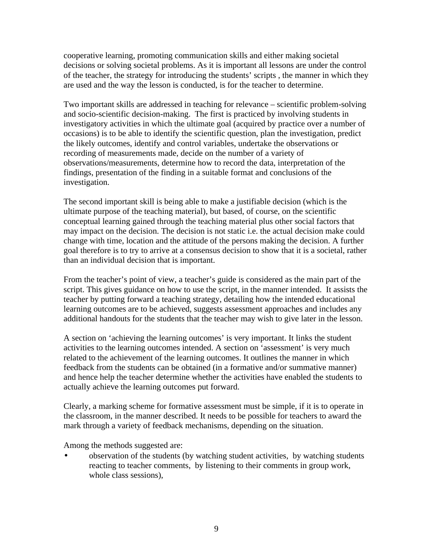cooperative learning, promoting communication skills and either making societal decisions or solving societal problems. As it is important all lessons are under the control of the teacher, the strategy for introducing the students' scripts , the manner in which they are used and the way the lesson is conducted, is for the teacher to determine.

Two important skills are addressed in teaching for relevance – scientific problem-solving and socio-scientific decision-making. The first is practiced by involving students in investigatory activities in which the ultimate goal (acquired by practice over a number of occasions) is to be able to identify the scientific question, plan the investigation, predict the likely outcomes, identify and control variables, undertake the observations or recording of measurements made, decide on the number of a variety of observations/measurements, determine how to record the data, interpretation of the findings, presentation of the finding in a suitable format and conclusions of the investigation.

The second important skill is being able to make a justifiable decision (which is the ultimate purpose of the teaching material), but based, of course, on the scientific conceptual learning gained through the teaching material plus other social factors that may impact on the decision. The decision is not static i.e. the actual decision make could change with time, location and the attitude of the persons making the decision. A further goal therefore is to try to arrive at a consensus decision to show that it is a societal, rather than an individual decision that is important.

From the teacher's point of view, a teacher's guide is considered as the main part of the script. This gives guidance on how to use the script, in the manner intended. It assists the teacher by putting forward a teaching strategy, detailing how the intended educational learning outcomes are to be achieved, suggests assessment approaches and includes any additional handouts for the students that the teacher may wish to give later in the lesson.

A section on 'achieving the learning outcomes' is very important. It links the student activities to the learning outcomes intended. A section on 'assessment' is very much related to the achievement of the learning outcomes. It outlines the manner in which feedback from the students can be obtained (in a formative and/or summative manner) and hence help the teacher determine whether the activities have enabled the students to actually achieve the learning outcomes put forward.

Clearly, a marking scheme for formative assessment must be simple, if it is to operate in the classroom, in the manner described. It needs to be possible for teachers to award the mark through a variety of feedback mechanisms, depending on the situation.

Among the methods suggested are:

• observation of the students (by watching student activities, by watching students reacting to teacher comments, by listening to their comments in group work, whole class sessions),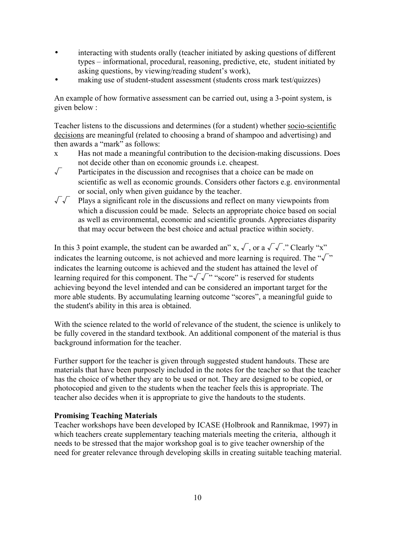interacting with students orally (teacher initiated by asking questions of different types – informational, procedural, reasoning, predictive, etc, student initiated by asking questions, by viewing/reading student's work),

making use of student-student assessment (students cross mark test/quizzes)

An example of how formative assessment can be carried out, using a 3-point system, is given below :

Teacher listens to the discussions and determines (for a student) whether socio-scientific decisions are meaningful (related to choosing a brand of shampoo and advertising) and then awards a "mark" as follows:

- x Has not made a meaningful contribution to the decision-making discussions. Does not decide other than on economic grounds i.e. cheapest.
- $\sqrt{\phantom{a}}$  Participates in the discussion and recognises that a choice can be made on scientific as well as economic grounds. Considers other factors e.g. environmental or social, only when given guidance by the teacher.
- √√ Plays a significant role in the discussions and reflect on many viewpoints from which a discussion could be made. Selects an appropriate choice based on social as well as environmental, economic and scientific grounds. Appreciates disparity that may occur between the best choice and actual practice within society.

In this 3 point example, the student can be awarded an" x,  $\sqrt{\ }$ , or a  $\sqrt{\ }$ ." Clearly "x" indicates the learning outcome, is not achieved and more learning is required. The " $\sqrt{\ }$ " indicates the learning outcome is achieved and the student has attained the level of learning required for this component. The " $\sqrt{\sqrt{}}$ " "score" is reserved for students achieving beyond the level intended and can be considered an important target for the more able students. By accumulating learning outcome "scores", a meaningful guide to the student's ability in this area is obtained.

With the science related to the world of relevance of the student, the science is unlikely to be fully covered in the standard textbook. An additional component of the material is thus background information for the teacher.

Further support for the teacher is given through suggested student handouts. These are materials that have been purposely included in the notes for the teacher so that the teacher has the choice of whether they are to be used or not. They are designed to be copied, or photocopied and given to the students when the teacher feels this is appropriate. The teacher also decides when it is appropriate to give the handouts to the students.

#### **Promising Teaching Materials**

Teacher workshops have been developed by ICASE (Holbrook and Rannikmae, 1997) in which teachers create supplementary teaching materials meeting the criteria, although it needs to be stressed that the major workshop goal is to give teacher ownership of the need for greater relevance through developing skills in creating suitable teaching material.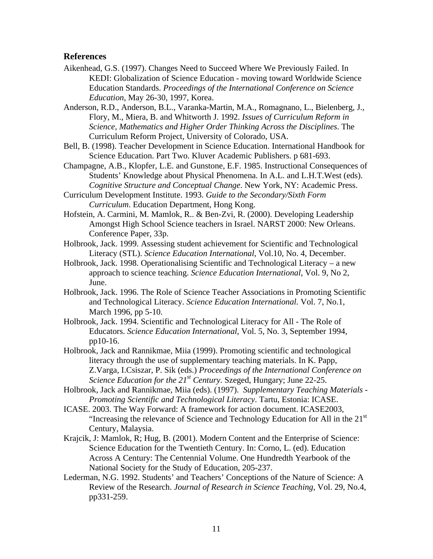### **References**

- Aikenhead, G.S. (1997). Changes Need to Succeed Where We Previously Failed. In KEDI: Globalization of Science Education - moving toward Worldwide Science Education Standards. *Proceedings of the International Conference on Science Education*, May 26-30, 1997, Korea.
- Anderson, R.D., Anderson, B.L., Varanka-Martin, M.A., Romagnano, L., Bielenberg, J., Flory, M., Miera, B. and Whitworth J. 1992. *Issues of Curriculum Reform in Science, Mathematics and Higher Order Thinking Across the Disciplines*. The Curriculum Reform Project, University of Colorado, USA.
- Bell, B. (1998). Teacher Development in Science Education. International Handbook for Science Education. Part Two. Kluver Academic Publishers. p 681-693.
- Champagne, A.B., Klopfer, L.E. and Gunstone, E.F. 1985. Instructional Consequences of Students' Knowledge about Physical Phenomena. In A.L. and L.H.T.West (eds). *Cognitive Structure and Conceptual Change*. New York, NY: Academic Press.
- Curriculum Development Institute. 1993. *Guide to the Secondary/Sixth Form Curriculum*. Education Department, Hong Kong.
- Hofstein, A. Carmini, M. Mamlok, R.. & Ben-Zvi, R. (2000). Developing Leadership Amongst High School Science teachers in Israel. NARST 2000: New Orleans. Conference Paper, 33p.
- Holbrook, Jack. 1999. Assessing student achievement for Scientific and Technological Literacy (STL). *Science Education International*, Vol.10, No. 4, December*.*
- Holbrook, Jack. 1998. Operationalising Scientific and Technological Literacy a new approach to science teaching. *Science Education International*, Vol. 9, No 2, June.
- Holbrook, Jack. 1996. The Role of Science Teacher Associations in Promoting Scientific and Technological Literacy. *Science Education International.* Vol. 7, No.1, March 1996, pp 5-10.
- Holbrook, Jack. 1994. Scientific and Technological Literacy for All The Role of Educators. *Science Education International*, Vol. 5, No. 3, September 1994, pp10-16.
- Holbrook, Jack and Rannikmae, Miia (1999). Promoting scientific and technological literacy through the use of supplementary teaching materials. In K. Papp, Z.Varga, I.Csiszar, P. Sik (eds.) *Proceedings of the International Conference on Science Education for the 21st Century*. Szeged, Hungary; June 22-25.
- Holbrook, Jack and Rannikmae, Miia (eds). (1997). *Supplementary Teaching Materials - Promoting Scientific and Technological Literacy*. Tartu, Estonia: ICASE.
- ICASE. 2003. The Way Forward: A framework for action document. ICASE2003, "Increasing the relevance of Science and Technology Education for All in the 21st Century, Malaysia.
- Krajcik, J: Mamlok, R; Hug, B. (2001). Modern Content and the Enterprise of Science: Science Education for the Twentieth Century. In: Corno, L. (ed). Education Across A Century: The Centennial Volume. One Hundredth Yearbook of the National Society for the Study of Education, 205-237.
- Lederman, N.G. 1992. Students' and Teachers' Conceptions of the Nature of Science: A Review of the Research. *Journal of Research in Science Teaching*, Vol. 29, No.4, pp331-259.